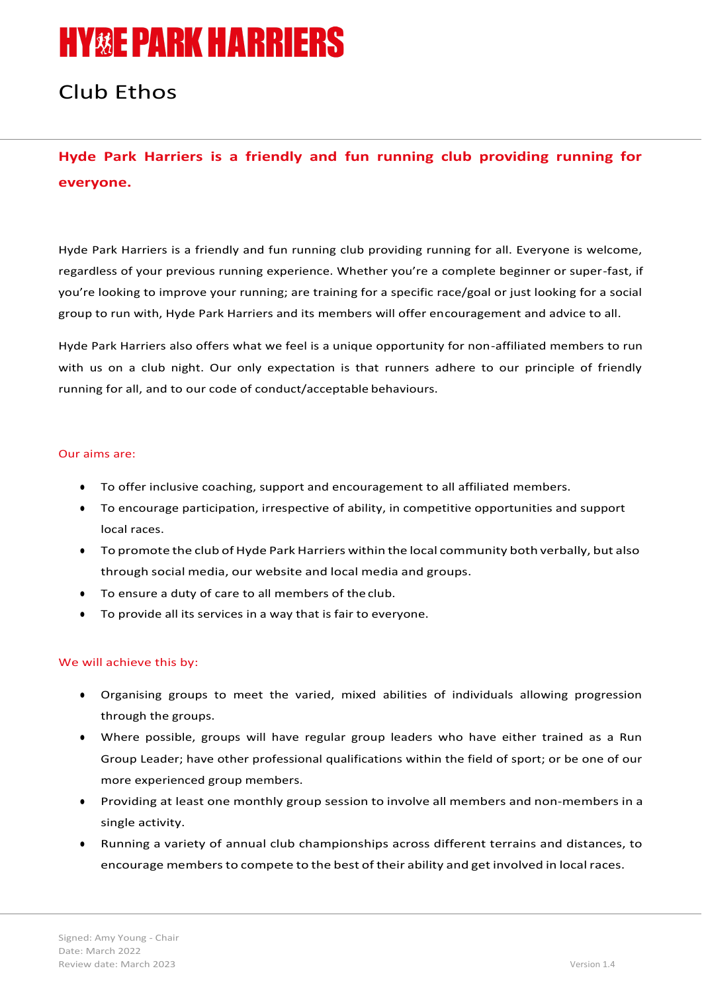# **HY&E PARK HARRIERS**

## Club Ethos

## **Hyde Park Harriers is a friendly and fun running club providing running for everyone.**

Hyde Park Harriers is a friendly and fun running club providing running for all. Everyone is welcome, regardless of your previous running experience. Whether you're a complete beginner or super-fast, if you're looking to improve your running; are training for a specific race/goal or just looking for a social group to run with, Hyde Park Harriers and its members will offer encouragement and advice to all.

Hyde Park Harriers also offers what we feel is a unique opportunity for non-affiliated members to run with us on a club night. Our only expectation is that runners adhere to our principle of friendly running for all, and to our code of conduct/acceptable behaviours.

#### Our aims are:

- To offer inclusive coaching, support and encouragement to all affiliated members.
- To encourage participation, irrespective of ability, in competitive opportunities and support local races.
- To promote the club of Hyde Park Harriers within the local community both verbally, but also through social media, our website and local media and groups.
- To ensure a duty of care to all members of the club.
- To provide all its services in a way that is fair to everyone.

### We will achieve this by:

- Organising groups to meet the varied, mixed abilities of individuals allowing progression through the groups.
- Where possible, groups will have regular group leaders who have either trained as a Run Group Leader; have other professional qualifications within the field of sport; or be one of our more experienced group members.
- Providing at least one monthly group session to involve all members and non-members in a single activity.
- Running a variety of annual club championships across different terrains and distances, to encourage members to compete to the best of their ability and get involved in local races.